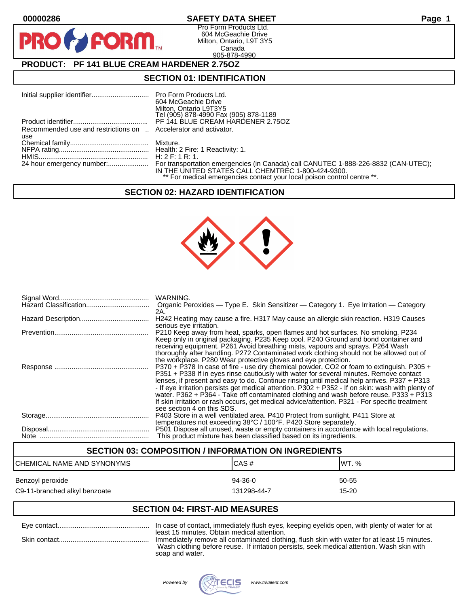D

## **00000286 SAFETY DATA SHEET Page 1**

Pro Form Products Ltd. 604 McGeachie Drive Milton, Ontario, L9T 3Y5 Canada 905-878-4990

## **PRODUCT: PF 141 BLUE CREAM HARDENER 2.75OZ**

**FORM.** 

## **SECTION 01: IDENTIFICATION**

|                                                                 | 604 McGeachie Drive<br>Milton, Ontario L9T3Y5<br>Tel (905) 878-4990 Fax (905) 878-1189                                        |
|-----------------------------------------------------------------|-------------------------------------------------------------------------------------------------------------------------------|
|                                                                 |                                                                                                                               |
| Recommended use and restrictions on  Accelerator and activator. |                                                                                                                               |
| use                                                             |                                                                                                                               |
|                                                                 |                                                                                                                               |
|                                                                 |                                                                                                                               |
|                                                                 |                                                                                                                               |
|                                                                 | IN THE UNITED STATES CALL CHEMTREC 1-800-424-9300.<br>** For medical emergencies contact your local poison control centre **. |

#### **SECTION 02: HAZARD IDENTIFICATION**



| WARNING.<br>Organic Peroxides - Type E. Skin Sensitizer - Category 1. Eye Irritation - Category                                                                                                                                                                                                                                                                                                                                                                                                                                                                                                                  |
|------------------------------------------------------------------------------------------------------------------------------------------------------------------------------------------------------------------------------------------------------------------------------------------------------------------------------------------------------------------------------------------------------------------------------------------------------------------------------------------------------------------------------------------------------------------------------------------------------------------|
| 2A.<br>H242 Heating may cause a fire. H317 May cause an allergic skin reaction. H319 Causes                                                                                                                                                                                                                                                                                                                                                                                                                                                                                                                      |
| serious eye irritation.<br>P210 Keep away from heat, sparks, open flames and hot surfaces. No smoking. P234<br>Keep only in original packaging. P235 Keep cool. P240 Ground and bond container and<br>receiving equipment. P261 Avoid breathing mists, vapours and sprays. P264 Wash<br>thoroughly after handling. P272 Contaminated work clothing should not be allowed out of<br>the workplace. P280 Wear protective gloves and eye protection.                                                                                                                                                                |
| P370 + P378 In case of fire - use dry chemical powder, CO2 or foam to extinguish. P305 +<br>P351 + P338 If in eyes rinse cautiously with water for several minutes. Remove contact<br>lenses, if present and easy to do. Continue rinsing until medical help arrives. P337 + P313<br>- If eye irritation persists get medical attention. P302 + P352 - If on skin: wash with plenty of<br>water. P362 + P364 - Take off contaminated clothing and wash before reuse. P333 + P313<br>If skin irritation or rash occurs, get medical advice/attention. P321 - For specific treatment<br>see section 4 on this SDS. |
| P403 Store in a well ventilated area. P410 Protect from sunlight. P411 Store at<br>temperatures not exceeding 38°C / 100°F. P420 Store separately.                                                                                                                                                                                                                                                                                                                                                                                                                                                               |
| P501 Dispose all unused, waste or empty containers in accordance with local regulations.<br>This product mixture has been classified based on its ingredients.                                                                                                                                                                                                                                                                                                                                                                                                                                                   |

# **SECTION 03: COMPOSITION / INFORMATION ON INGREDIENTS** CHEMICAL NAME AND SYNONYMS CHEMICAL NAME AND SYNONYMS Benzoyl peroxide 60-55 states and the state of the 94-36-0 states of the 50-55 states of the  $\frac{94-36-0}{2}$ C9-11-branched alkyl benzoate 15-20 and the 131298-44-7 control in the 15-20

## **SECTION 04: FIRST-AID MEASURES**

| In case of contact, immediately flush eyes, keeping eyelids open, with plenty of water for at                                                                                                                                             |
|-------------------------------------------------------------------------------------------------------------------------------------------------------------------------------------------------------------------------------------------|
| least 15 minutes. Obtain medical attention.<br>Immediately remove all contaminated clothing, flush skin with water for at least 15 minutes.<br>Wash clothing before reuse. If irritation persists, seek medical attention. Wash skin with |
| soap and water.                                                                                                                                                                                                                           |

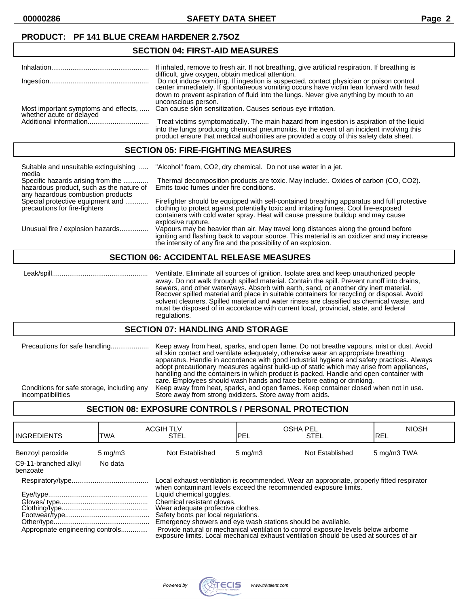**00000286 SAFETY DATA SHEET Page 2**

## **SECTION 04: FIRST-AID MEASURES**

|                                                                  | If inhaled, remove to fresh air. If not breathing, give artificial respiration. If breathing is<br>difficult, give oxygen, obtain medical attention.                                                                                                                                          |
|------------------------------------------------------------------|-----------------------------------------------------------------------------------------------------------------------------------------------------------------------------------------------------------------------------------------------------------------------------------------------|
|                                                                  | Do not induce vomiting. If ingestion is suspected, contact physician or poison control center immediately. If spontaneous vomiting occurs have victim lean forward with head<br>down to prevent aspiration of fluid into the lungs. Never give anything by mouth to an<br>unconscious person. |
| Most important symptoms and effects,<br>whether acute or delayed | Can cause skin sensitization. Causes serious eye irritation.                                                                                                                                                                                                                                  |
|                                                                  | Treat victims symptomatically. The main hazard from ingestion is aspiration of the liquid<br>into the lungs producing chemical pneumonitis. In the event of an incident involving this<br>product ensure that medical authorities are provided a copy of this safety data sheet.              |

#### **SECTION 05: FIRE-FIGHTING MEASURES**

| Suitable and unsuitable extinguishing<br>media                                                                     | "Alcohol" foam, CO2, dry chemical. Do not use water in a jet.                                                                                                                                                                                                                                 |
|--------------------------------------------------------------------------------------------------------------------|-----------------------------------------------------------------------------------------------------------------------------------------------------------------------------------------------------------------------------------------------------------------------------------------------|
| Specific hazards arising from the<br>hazardous product, such as the nature of<br>any hazardous combustion products | Thermal decomposition products are toxic. May include: Oxides of carbon (CO, CO2).<br>Emits toxic fumes under fire conditions.                                                                                                                                                                |
| Special protective equipment and<br>precautions for fire-fighters                                                  | Firefighter should be equipped with self-contained breathing apparatus and full protective<br>clothing to protect against potentially toxic and irritating fumes. Cool fire-exposed<br>containers with cold water spray. Heat will cause pressure buildup and may cause<br>explosive rupture. |
| Unusual fire / explosion hazards                                                                                   | Vapours may be heavier than air. May travel long distances along the ground before<br>igniting and flashing back to vapour source. This material is an oxidizer and may increase<br>the intensity of any fire and the possibility of an explosion.                                            |

#### **SECTION 06: ACCIDENTAL RELEASE MEASURES**

 Leak/spill.................................................. Ventilate. Eliminate all sources of ignition. Isolate area and keep unauthorized people away. Do not walk through spilled material. Contain the spill. Prevent runoff into drains, sewers, and other waterways. Absorb with earth, sand, or another dry inert material. Recover spilled material and place in suitable containers for recycling or disposal. Avoid solvent cleaners. Spilled material and water rinses are classified as chemical waste, and must be disposed of in accordance with current local, provincial, state, and federal regulations.

#### **SECTION 07: HANDLING AND STORAGE**

| Precautions for safe handling<br>Conditions for safe storage, including any | Keep away from heat, sparks, and open flame. Do not breathe vapours, mist or dust. Avoid<br>all skin contact and ventilate adequately, otherwise wear an appropriate breathing<br>apparatus. Handle in accordance with good industrial hygiene and safety practices. Always<br>adopt precautionary measures against build-up of static which may arise from appliances,<br>handling and the containers in which product is packed. Handle and open container with<br>care. Employees should wash hands and face before eating or drinking. |
|-----------------------------------------------------------------------------|--------------------------------------------------------------------------------------------------------------------------------------------------------------------------------------------------------------------------------------------------------------------------------------------------------------------------------------------------------------------------------------------------------------------------------------------------------------------------------------------------------------------------------------------|
| incompatibilities                                                           | Keep away from heat, sparks, and open flames. Keep container closed when not in use.<br>Store away from strong oxidizers. Store away from acids.                                                                                                                                                                                                                                                                                                                                                                                           |

#### **SECTION 08: EXPOSURE CONTROLS / PERSONAL PROTECTION**

| <b>IINGREDIENTS</b>              | TWA              | <b>ACGIH TLV</b><br><b>STEL</b>                                                                                                                                                                                                                                                                                                                                                                                                                                                                                                                     | <b>OSHA PEL</b><br>PEL | <b>STEL</b>     | <b>NIOSH</b><br>IREL |
|----------------------------------|------------------|-----------------------------------------------------------------------------------------------------------------------------------------------------------------------------------------------------------------------------------------------------------------------------------------------------------------------------------------------------------------------------------------------------------------------------------------------------------------------------------------------------------------------------------------------------|------------------------|-----------------|----------------------|
| Benzoyl peroxide                 | $5 \text{ mg/m}$ | Not Established                                                                                                                                                                                                                                                                                                                                                                                                                                                                                                                                     | $5 \text{ mg/m}$       | Not Established | 5 mg/m3 TWA          |
| C9-11-branched alkyl<br>benzoate | No data          |                                                                                                                                                                                                                                                                                                                                                                                                                                                                                                                                                     |                        |                 |                      |
| Appropriate engineering controls |                  | Local exhaust ventilation is recommended. Wear an appropriate, properly fitted respirator<br>when contaminant levels exceed the recommended exposure limits.<br>Liquid chemical goggles.<br>Chemical resistant gloves.<br>Wear adequate profective clothes.<br>Safety boots per local regulations.<br>Emergency showers and eye wash stations should be available.<br>Provide natural or mechanical ventilation to control exposure levels below airborne<br>exposure limits. Local mechanical exhaust ventilation should be used at sources of air |                        |                 |                      |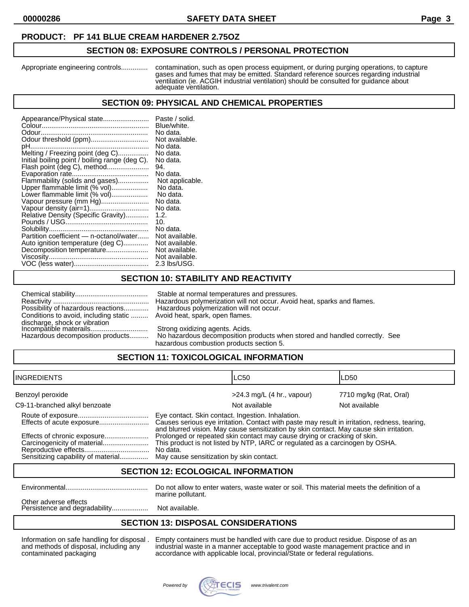#### **PRODUCT: PF 141 BLUE CREAM HARDENER 2.75OZ**

#### **SECTION 08: EXPOSURE CONTROLS / PERSONAL PROTECTION**

Appropriate engineering controls.............. contamination, such as open process equipment, or during purging operations, to capture gases and fumes that may be emitted. Standard reference sources regarding industrial ventilation (ie. ACGIH industrial ventilation) should be consulted for guidance about adequate ventilation.

#### **SECTION 09: PHYSICAL AND CHEMICAL PROPERTIES**

| Appearance/Physical state<br>Odour threshold (ppm)<br>pH<br>Melting / Freezing point (deg C)<br>Initial boiling point / boiling range (deg C).<br>Flash point (deg C), method<br>Flammability (solids and gases)<br>Upper flammable limit (% vol)<br>Lower flammable limit (% vol)<br>Vapour pressure (mm Hg)<br>Relative Density (Specific Gravity)<br>Partition coefficient - n-octanol/water<br>Auto ignition temperature (deg C)<br>Decomposition temperature | Paste / solid.<br>Blue/white.<br>No data.<br>Not available.<br>No data.<br>No data.<br>No data.<br>94.<br>No data.<br>Not applicable.<br>No data.<br>No data.<br>No data.<br>No data.<br>1.2.<br>10.<br>No data.<br>Not available.<br>Not available.<br>Not available.<br>Not available. |
|-------------------------------------------------------------------------------------------------------------------------------------------------------------------------------------------------------------------------------------------------------------------------------------------------------------------------------------------------------------------------------------------------------------------------------------------------------------------|------------------------------------------------------------------------------------------------------------------------------------------------------------------------------------------------------------------------------------------------------------------------------------------|
|                                                                                                                                                                                                                                                                                                                                                                                                                                                                   | 2.3 lbs/USG.                                                                                                                                                                                                                                                                             |

## **SECTION 10: STABILITY AND REACTIVITY**

| Possibility of hazardous reactions                      |
|---------------------------------------------------------|
| Conditions to avoid, including static                   |
| discharge, shock or vibration<br>Incompatible materails |
|                                                         |
|                                                         |

Stable at normal temperatures and pressures. Reactivity .................................................. Hazardous polymerization will not occur. Avoid heat, sparks and flames. Hazardous polymerization will not occur. Avoid heat, spark, open flames.

Strong oxidizing agents. Acids.

Hazardous decomposition products.......... No hazardous decomposition products when stored and handled correctly. See hazardous combustion products section 5.

## **SECTION 11: TOXICOLOGICAL INFORMATION**

| <b>INGREDIENTS</b>            |                                                                                                                                                                                                                                               | <b>LC50</b>                  | LD50                   |
|-------------------------------|-----------------------------------------------------------------------------------------------------------------------------------------------------------------------------------------------------------------------------------------------|------------------------------|------------------------|
| Benzoyl peroxide              |                                                                                                                                                                                                                                               | $>24.3$ mg/L (4 hr., vapour) | 7710 mg/kg (Rat, Oral) |
| C9-11-branched alkyl benzoate |                                                                                                                                                                                                                                               | Not available                | Not available          |
| Effects of acute exposure     | Eye contact. Skin contact. Ingestion. Inhalation.<br>Causes serious eye irritation. Contact with paste may result in irritation, redness, tearing,<br>and blurred vision. May cause sensitization by skin contact. May cause skin irritation. |                              |                        |
| Carcinogenicity of material   | Prolonged or repeated skin contact may cause drying or cracking of skin.<br>This product is not listed by NTP, IARC or regulated as a carcinogen by OSHA.<br>No data.                                                                         |                              |                        |

#### **SECTION 12: ECOLOGICAL INFORMATION**

Environmental........................................... Do not allow to enter waters, waste water or soil. This material meets the definition of a marine pollutant.

Other adverse effects Persistence and degradability......................... Not available.

## **SECTION 13: DISPOSAL CONSIDERATIONS**

Information on safe handling for disposal . Empty containers must be handled with care due to product residue. Dispose of as an and methods of disposal, including any industrial waste in a manner acceptable to good waste management practice and in contaminated packaging accordance with applicable local, provincial/State or federal regulations.